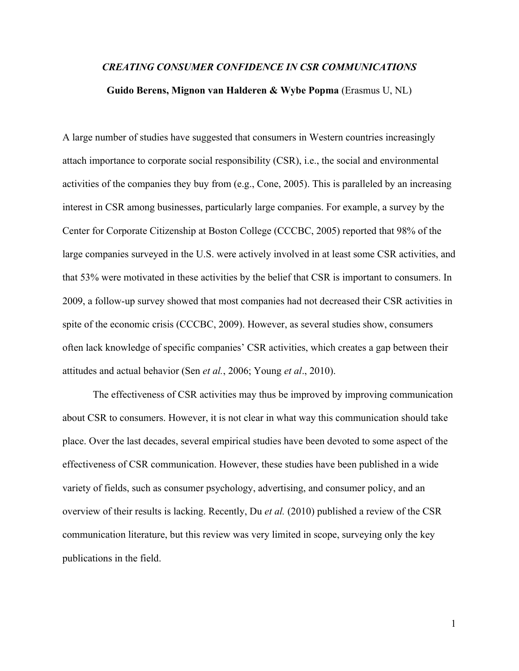# *CREATING CONSUMER CONFIDENCE IN CSR COMMUNICATIONS* **Guido Berens, Mignon van Halderen & Wybe Popma** (Erasmus U, NL)

A large number of studies have suggested that consumers in Western countries increasingly attach importance to corporate social responsibility (CSR), i.e., the social and environmental activities of the companies they buy from (e.g., Cone, 2005). This is paralleled by an increasing interest in CSR among businesses, particularly large companies. For example, a survey by the Center for Corporate Citizenship at Boston College (CCCBC, 2005) reported that 98% of the large companies surveyed in the U.S. were actively involved in at least some CSR activities, and that 53% were motivated in these activities by the belief that CSR is important to consumers. In 2009, a follow-up survey showed that most companies had not decreased their CSR activities in spite of the economic crisis (CCCBC, 2009). However, as several studies show, consumers often lack knowledge of specific companies' CSR activities, which creates a gap between their attitudes and actual behavior (Sen *et al.*, 2006; Young *et al*., 2010).

The effectiveness of CSR activities may thus be improved by improving communication about CSR to consumers. However, it is not clear in what way this communication should take place. Over the last decades, several empirical studies have been devoted to some aspect of the effectiveness of CSR communication. However, these studies have been published in a wide variety of fields, such as consumer psychology, advertising, and consumer policy, and an overview of their results is lacking. Recently, Du *et al.* (2010) published a review of the CSR communication literature, but this review was very limited in scope, surveying only the key publications in the field.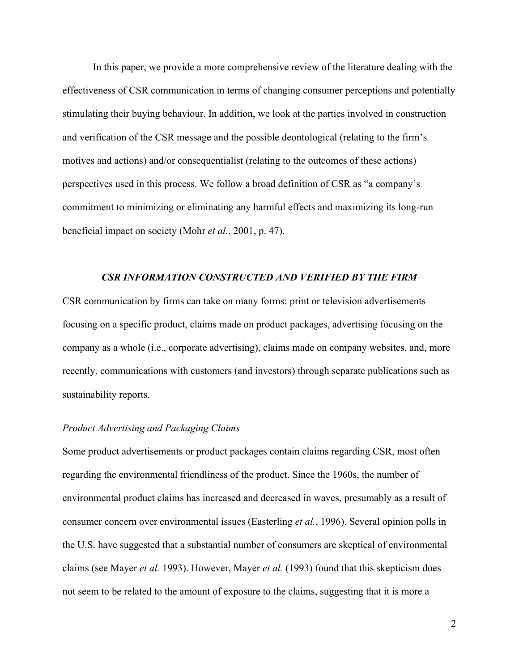In this paper, we provide a more comprehensive review of the literature dealing with the effectiveness of CSR communication in terms of changing consumer perceptions and potentially stimulating their buying behaviour. In addition, we look at the parties involved in construction and verification of the CSR message and the possible deontological (relating to the firm's motives and actions) and/or consequentialist (relating to the outcomes of these actions) perspectives used in this process. We follow a broad definition of CSR as "a company's commitment to minimizing or eliminating any harmful effects and maximizing its long-run beneficial impact on society (Mohr *et al.*, 2001, p. 47).

#### *CSR INFORMATION CONSTRUCTED AND VERIFIED BY THE FIRM*

CSR communication by firms can take on many forms: print or television advertisements focusing on a specific product, claims made on product packages, advertising focusing on the company as a whole (i.e., corporate advertising), claims made on company websites, and, more recently, communications with customers (and investors) through separate publications such as sustainability reports.

## *Product Advertising and Packaging Claims*

Some product advertisements or product packages contain claims regarding CSR, most often regarding the environmental friendliness of the product. Since the 1960s, the number of environmental product claims has increased and decreased in waves, presumably as a result of consumer concern over environmental issues (Easterling *et al.*, 1996). Several opinion polls in the U.S. have suggested that a substantial number of consumers are skeptical of environmental claims (see Mayer *et al.* 1993). However, Mayer *et al.* (1993) found that this skepticism does not seem to be related to the amount of exposure to the claims, suggesting that it is more a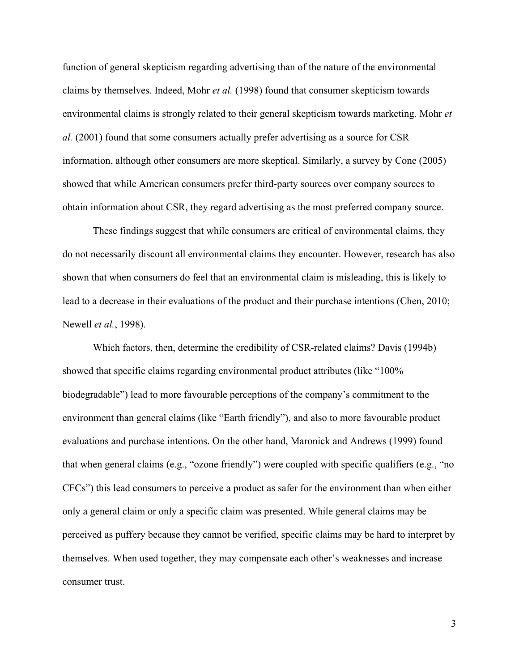function of general skepticism regarding advertising than of the nature of the environmental claims by themselves. Indeed, Mohr *et al.* (1998) found that consumer skepticism towards environmental claims is strongly related to their general skepticism towards marketing. Mohr *et al.* (2001) found that some consumers actually prefer advertising as a source for CSR information, although other consumers are more skeptical. Similarly, a survey by Cone (2005) showed that while American consumers prefer third-party sources over company sources to obtain information about CSR, they regard advertising as the most preferred company source.

These findings suggest that while consumers are critical of environmental claims, they do not necessarily discount all environmental claims they encounter. However, research has also shown that when consumers do feel that an environmental claim is misleading, this is likely to lead to a decrease in their evaluations of the product and their purchase intentions (Chen, 2010; Newell *et al.*, 1998).

Which factors, then, determine the credibility of CSR-related claims? Davis (1994b) showed that specific claims regarding environmental product attributes (like "100% biodegradable") lead to more favourable perceptions of the company's commitment to the environment than general claims (like "Earth friendly"), and also to more favourable product evaluations and purchase intentions. On the other hand, Maronick and Andrews (1999) found that when general claims (e.g., "ozone friendly") were coupled with specific qualifiers (e.g., "no CFCs") this lead consumers to perceive a product as safer for the environment than when either only a general claim or only a specific claim was presented. While general claims may be perceived as puffery because they cannot be verified, specific claims may be hard to interpret by themselves. When used together, they may compensate each other's weaknesses and increase consumer trust.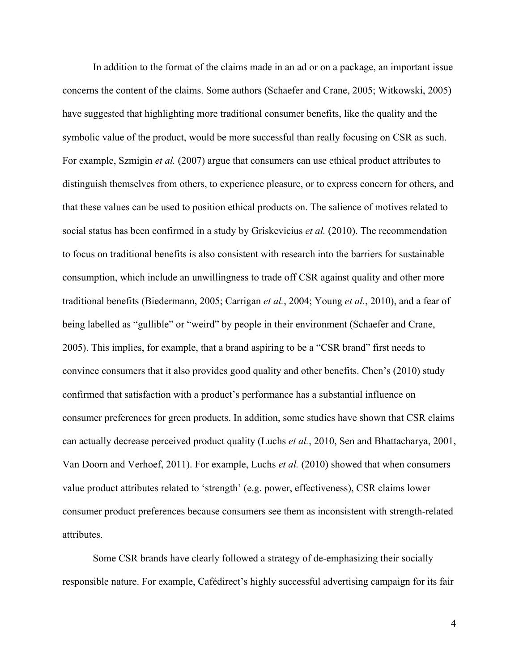In addition to the format of the claims made in an ad or on a package, an important issue concerns the content of the claims. Some authors (Schaefer and Crane, 2005; Witkowski, 2005) have suggested that highlighting more traditional consumer benefits, like the quality and the symbolic value of the product, would be more successful than really focusing on CSR as such. For example, Szmigin *et al.* (2007) argue that consumers can use ethical product attributes to distinguish themselves from others, to experience pleasure, or to express concern for others, and that these values can be used to position ethical products on. The salience of motives related to social status has been confirmed in a study by Griskevicius *et al.* (2010). The recommendation to focus on traditional benefits is also consistent with research into the barriers for sustainable consumption, which include an unwillingness to trade off CSR against quality and other more traditional benefits (Biedermann, 2005; Carrigan *et al.*, 2004; Young *et al.*, 2010), and a fear of being labelled as "gullible" or "weird" by people in their environment (Schaefer and Crane, 2005). This implies, for example, that a brand aspiring to be a "CSR brand" first needs to convince consumers that it also provides good quality and other benefits. Chen's (2010) study confirmed that satisfaction with a product's performance has a substantial influence on consumer preferences for green products. In addition, some studies have shown that CSR claims can actually decrease perceived product quality (Luchs *et al.*, 2010, Sen and Bhattacharya, 2001, Van Doorn and Verhoef, 2011). For example, Luchs *et al.* (2010) showed that when consumers value product attributes related to 'strength' (e.g. power, effectiveness), CSR claims lower consumer product preferences because consumers see them as inconsistent with strength-related attributes.

Some CSR brands have clearly followed a strategy of de-emphasizing their socially responsible nature. For example, Cafédirect's highly successful advertising campaign for its fair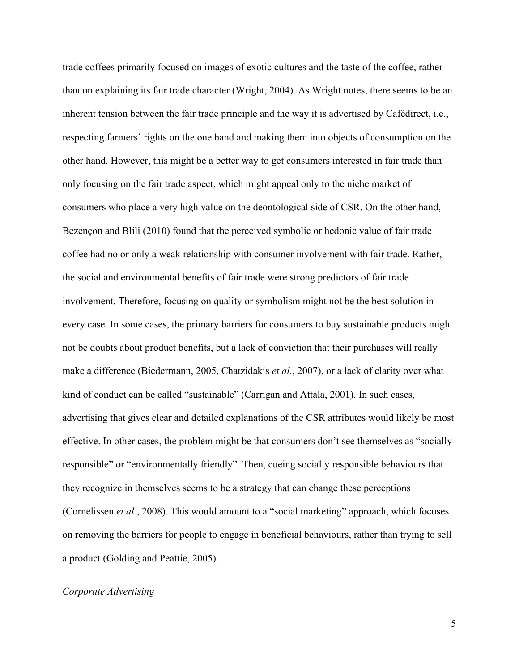trade coffees primarily focused on images of exotic cultures and the taste of the coffee, rather than on explaining its fair trade character (Wright, 2004). As Wright notes, there seems to be an inherent tension between the fair trade principle and the way it is advertised by Cafédirect, i.e., respecting farmers' rights on the one hand and making them into objects of consumption on the other hand. However, this might be a better way to get consumers interested in fair trade than only focusing on the fair trade aspect, which might appeal only to the niche market of consumers who place a very high value on the deontological side of CSR. On the other hand, Bezençon and Blili (2010) found that the perceived symbolic or hedonic value of fair trade coffee had no or only a weak relationship with consumer involvement with fair trade. Rather, the social and environmental benefits of fair trade were strong predictors of fair trade involvement. Therefore, focusing on quality or symbolism might not be the best solution in every case. In some cases, the primary barriers for consumers to buy sustainable products might not be doubts about product benefits, but a lack of conviction that their purchases will really make a difference (Biedermann, 2005, Chatzidakis *et al.*, 2007), or a lack of clarity over what kind of conduct can be called "sustainable" (Carrigan and Attala, 2001). In such cases, advertising that gives clear and detailed explanations of the CSR attributes would likely be most effective. In other cases, the problem might be that consumers don't see themselves as "socially responsible" or "environmentally friendly". Then, cueing socially responsible behaviours that they recognize in themselves seems to be a strategy that can change these perceptions (Cornelissen *et al.*, 2008). This would amount to a "social marketing" approach, which focuses on removing the barriers for people to engage in beneficial behaviours, rather than trying to sell a product (Golding and Peattie, 2005).

## *Corporate Advertising*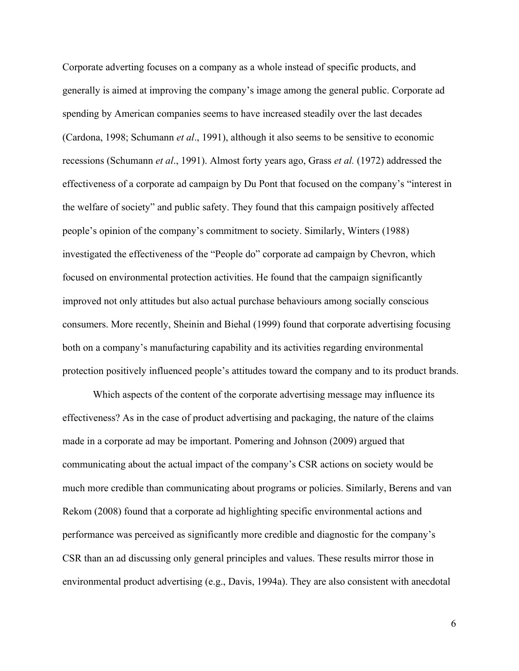Corporate adverting focuses on a company as a whole instead of specific products, and generally is aimed at improving the company's image among the general public. Corporate ad spending by American companies seems to have increased steadily over the last decades (Cardona, 1998; Schumann *et al*., 1991), although it also seems to be sensitive to economic recessions (Schumann *et al*., 1991). Almost forty years ago, Grass *et al.* (1972) addressed the effectiveness of a corporate ad campaign by Du Pont that focused on the company's "interest in the welfare of society" and public safety. They found that this campaign positively affected people's opinion of the company's commitment to society. Similarly, Winters (1988) investigated the effectiveness of the "People do" corporate ad campaign by Chevron, which focused on environmental protection activities. He found that the campaign significantly improved not only attitudes but also actual purchase behaviours among socially conscious consumers. More recently, Sheinin and Biehal (1999) found that corporate advertising focusing both on a company's manufacturing capability and its activities regarding environmental protection positively influenced people's attitudes toward the company and to its product brands.

Which aspects of the content of the corporate advertising message may influence its effectiveness? As in the case of product advertising and packaging, the nature of the claims made in a corporate ad may be important. Pomering and Johnson (2009) argued that communicating about the actual impact of the company's CSR actions on society would be much more credible than communicating about programs or policies. Similarly, Berens and van Rekom (2008) found that a corporate ad highlighting specific environmental actions and performance was perceived as significantly more credible and diagnostic for the company's CSR than an ad discussing only general principles and values. These results mirror those in environmental product advertising (e.g., Davis, 1994a). They are also consistent with anecdotal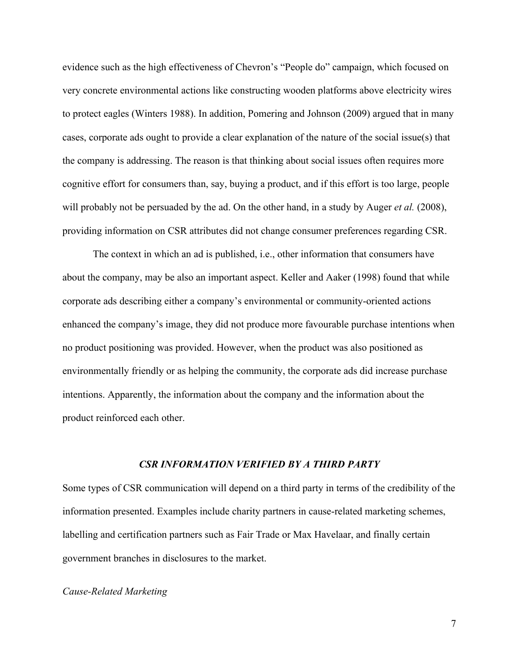evidence such as the high effectiveness of Chevron's "People do" campaign, which focused on very concrete environmental actions like constructing wooden platforms above electricity wires to protect eagles (Winters 1988). In addition, Pomering and Johnson (2009) argued that in many cases, corporate ads ought to provide a clear explanation of the nature of the social issue(s) that the company is addressing. The reason is that thinking about social issues often requires more cognitive effort for consumers than, say, buying a product, and if this effort is too large, people will probably not be persuaded by the ad. On the other hand, in a study by Auger *et al.* (2008), providing information on CSR attributes did not change consumer preferences regarding CSR.

The context in which an ad is published, i.e., other information that consumers have about the company, may be also an important aspect. Keller and Aaker (1998) found that while corporate ads describing either a company's environmental or community-oriented actions enhanced the company's image, they did not produce more favourable purchase intentions when no product positioning was provided. However, when the product was also positioned as environmentally friendly or as helping the community, the corporate ads did increase purchase intentions. Apparently, the information about the company and the information about the product reinforced each other.

#### *CSR INFORMATION VERIFIED BY A THIRD PARTY*

Some types of CSR communication will depend on a third party in terms of the credibility of the information presented. Examples include charity partners in cause-related marketing schemes, labelling and certification partners such as Fair Trade or Max Havelaar, and finally certain government branches in disclosures to the market.

# *Cause-Related Marketing*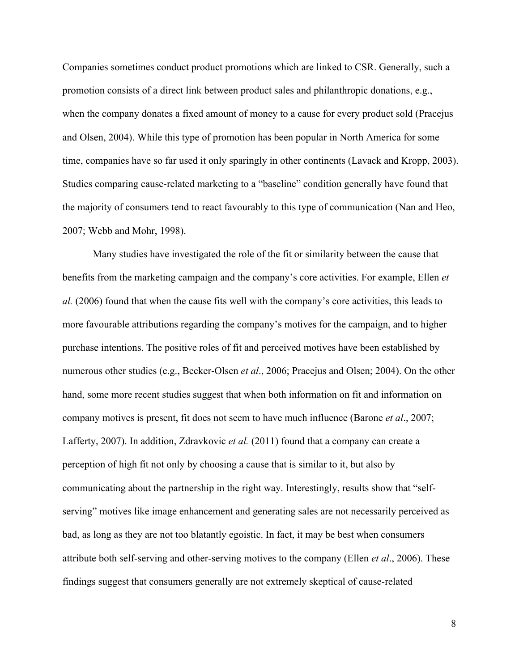Companies sometimes conduct product promotions which are linked to CSR. Generally, such a promotion consists of a direct link between product sales and philanthropic donations, e.g., when the company donates a fixed amount of money to a cause for every product sold (Pracejus and Olsen, 2004). While this type of promotion has been popular in North America for some time, companies have so far used it only sparingly in other continents (Lavack and Kropp, 2003). Studies comparing cause-related marketing to a "baseline" condition generally have found that the majority of consumers tend to react favourably to this type of communication (Nan and Heo, 2007; Webb and Mohr, 1998).

Many studies have investigated the role of the fit or similarity between the cause that benefits from the marketing campaign and the company's core activities. For example, Ellen *et al.* (2006) found that when the cause fits well with the company's core activities, this leads to more favourable attributions regarding the company's motives for the campaign, and to higher purchase intentions. The positive roles of fit and perceived motives have been established by numerous other studies (e.g., Becker-Olsen *et al*., 2006; Pracejus and Olsen; 2004). On the other hand, some more recent studies suggest that when both information on fit and information on company motives is present, fit does not seem to have much influence (Barone *et al*., 2007; Lafferty, 2007). In addition, Zdravkovic *et al.* (2011) found that a company can create a perception of high fit not only by choosing a cause that is similar to it, but also by communicating about the partnership in the right way. Interestingly, results show that "selfserving" motives like image enhancement and generating sales are not necessarily perceived as bad, as long as they are not too blatantly egoistic. In fact, it may be best when consumers attribute both self-serving and other-serving motives to the company (Ellen *et al*., 2006). These findings suggest that consumers generally are not extremely skeptical of cause-related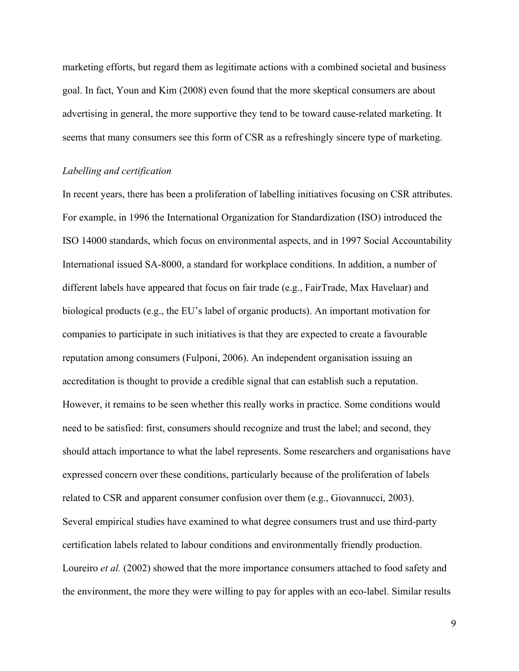marketing efforts, but regard them as legitimate actions with a combined societal and business goal. In fact, Youn and Kim (2008) even found that the more skeptical consumers are about advertising in general, the more supportive they tend to be toward cause-related marketing. It seems that many consumers see this form of CSR as a refreshingly sincere type of marketing.

## *Labelling and certification*

In recent years, there has been a proliferation of labelling initiatives focusing on CSR attributes. For example, in 1996 the International Organization for Standardization (ISO) introduced the ISO 14000 standards, which focus on environmental aspects, and in 1997 Social Accountability International issued SA-8000, a standard for workplace conditions. In addition, a number of different labels have appeared that focus on fair trade (e.g., FairTrade, Max Havelaar) and biological products (e.g., the EU's label of organic products). An important motivation for companies to participate in such initiatives is that they are expected to create a favourable reputation among consumers (Fulponi, 2006). An independent organisation issuing an accreditation is thought to provide a credible signal that can establish such a reputation. However, it remains to be seen whether this really works in practice. Some conditions would need to be satisfied: first, consumers should recognize and trust the label; and second, they should attach importance to what the label represents. Some researchers and organisations have expressed concern over these conditions, particularly because of the proliferation of labels related to CSR and apparent consumer confusion over them (e.g., Giovannucci, 2003). Several empirical studies have examined to what degree consumers trust and use third-party certification labels related to labour conditions and environmentally friendly production. Loureiro *et al.* (2002) showed that the more importance consumers attached to food safety and the environment, the more they were willing to pay for apples with an eco-label. Similar results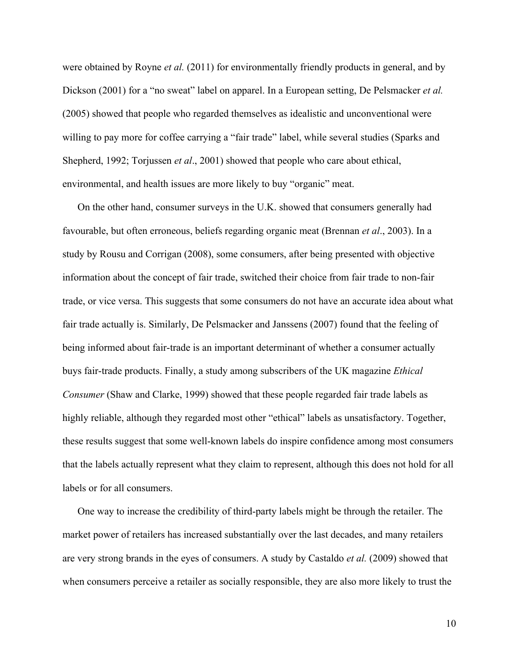were obtained by Royne *et al.* (2011) for environmentally friendly products in general, and by Dickson (2001) for a "no sweat" label on apparel. In a European setting, De Pelsmacker *et al.* (2005) showed that people who regarded themselves as idealistic and unconventional were willing to pay more for coffee carrying a "fair trade" label, while several studies (Sparks and Shepherd, 1992; Torjussen *et al*., 2001) showed that people who care about ethical, environmental, and health issues are more likely to buy "organic" meat.

On the other hand, consumer surveys in the U.K. showed that consumers generally had favourable, but often erroneous, beliefs regarding organic meat (Brennan *et al*., 2003). In a study by Rousu and Corrigan (2008), some consumers, after being presented with objective information about the concept of fair trade, switched their choice from fair trade to non-fair trade, or vice versa. This suggests that some consumers do not have an accurate idea about what fair trade actually is. Similarly, De Pelsmacker and Janssens (2007) found that the feeling of being informed about fair-trade is an important determinant of whether a consumer actually buys fair-trade products. Finally, a study among subscribers of the UK magazine *Ethical Consumer* (Shaw and Clarke, 1999) showed that these people regarded fair trade labels as highly reliable, although they regarded most other "ethical" labels as unsatisfactory. Together, these results suggest that some well-known labels do inspire confidence among most consumers that the labels actually represent what they claim to represent, although this does not hold for all labels or for all consumers.

One way to increase the credibility of third-party labels might be through the retailer. The market power of retailers has increased substantially over the last decades, and many retailers are very strong brands in the eyes of consumers. A study by Castaldo *et al.* (2009) showed that when consumers perceive a retailer as socially responsible, they are also more likely to trust the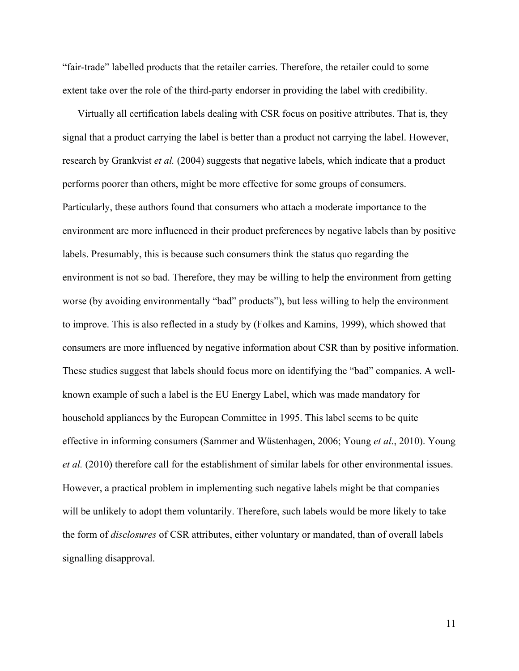"fair-trade" labelled products that the retailer carries. Therefore, the retailer could to some extent take over the role of the third-party endorser in providing the label with credibility.

Virtually all certification labels dealing with CSR focus on positive attributes. That is, they signal that a product carrying the label is better than a product not carrying the label. However, research by Grankvist *et al.* (2004) suggests that negative labels, which indicate that a product performs poorer than others, might be more effective for some groups of consumers. Particularly, these authors found that consumers who attach a moderate importance to the environment are more influenced in their product preferences by negative labels than by positive labels. Presumably, this is because such consumers think the status quo regarding the environment is not so bad. Therefore, they may be willing to help the environment from getting worse (by avoiding environmentally "bad" products"), but less willing to help the environment to improve. This is also reflected in a study by (Folkes and Kamins, 1999), which showed that consumers are more influenced by negative information about CSR than by positive information. These studies suggest that labels should focus more on identifying the "bad" companies. A wellknown example of such a label is the EU Energy Label, which was made mandatory for household appliances by the European Committee in 1995. This label seems to be quite effective in informing consumers (Sammer and Wüstenhagen, 2006; Young *et al*., 2010). Young *et al.* (2010) therefore call for the establishment of similar labels for other environmental issues. However, a practical problem in implementing such negative labels might be that companies will be unlikely to adopt them voluntarily. Therefore, such labels would be more likely to take the form of *disclosures* of CSR attributes, either voluntary or mandated, than of overall labels signalling disapproval.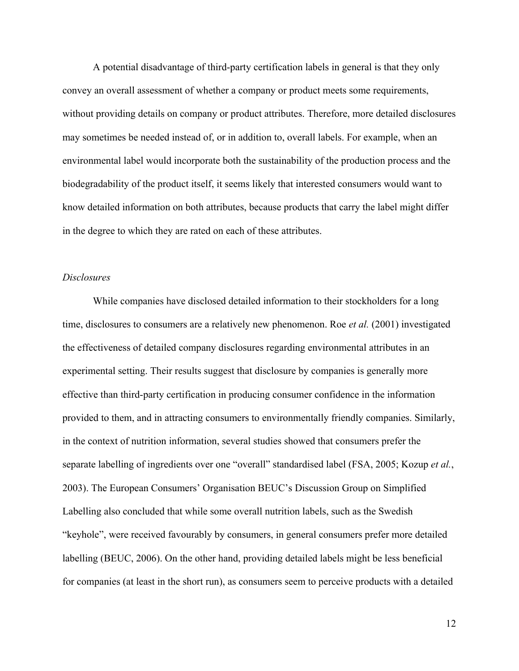A potential disadvantage of third-party certification labels in general is that they only convey an overall assessment of whether a company or product meets some requirements, without providing details on company or product attributes. Therefore, more detailed disclosures may sometimes be needed instead of, or in addition to, overall labels. For example, when an environmental label would incorporate both the sustainability of the production process and the biodegradability of the product itself, it seems likely that interested consumers would want to know detailed information on both attributes, because products that carry the label might differ in the degree to which they are rated on each of these attributes.

## *Disclosures*

While companies have disclosed detailed information to their stockholders for a long time, disclosures to consumers are a relatively new phenomenon. Roe *et al.* (2001) investigated the effectiveness of detailed company disclosures regarding environmental attributes in an experimental setting. Their results suggest that disclosure by companies is generally more effective than third-party certification in producing consumer confidence in the information provided to them, and in attracting consumers to environmentally friendly companies. Similarly, in the context of nutrition information, several studies showed that consumers prefer the separate labelling of ingredients over one "overall" standardised label (FSA, 2005; Kozup *et al.*, 2003). The European Consumers' Organisation BEUC's Discussion Group on Simplified Labelling also concluded that while some overall nutrition labels, such as the Swedish "keyhole", were received favourably by consumers, in general consumers prefer more detailed labelling (BEUC, 2006). On the other hand, providing detailed labels might be less beneficial for companies (at least in the short run), as consumers seem to perceive products with a detailed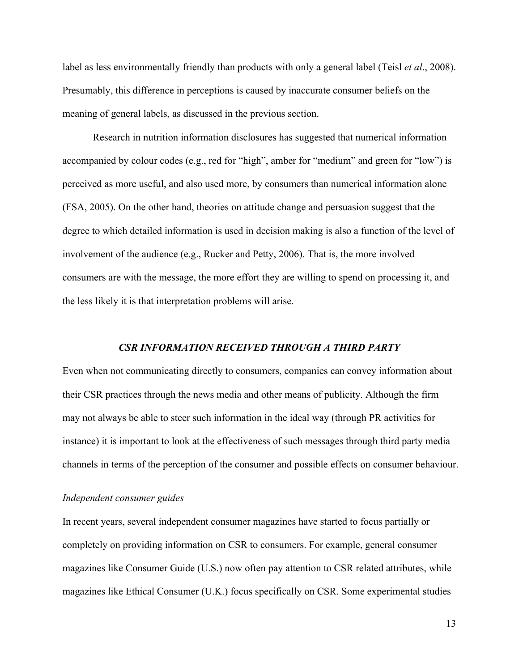label as less environmentally friendly than products with only a general label (Teisl *et al*., 2008). Presumably, this difference in perceptions is caused by inaccurate consumer beliefs on the meaning of general labels, as discussed in the previous section.

Research in nutrition information disclosures has suggested that numerical information accompanied by colour codes (e.g., red for "high", amber for "medium" and green for "low") is perceived as more useful, and also used more, by consumers than numerical information alone (FSA, 2005). On the other hand, theories on attitude change and persuasion suggest that the degree to which detailed information is used in decision making is also a function of the level of involvement of the audience (e.g., Rucker and Petty, 2006). That is, the more involved consumers are with the message, the more effort they are willing to spend on processing it, and the less likely it is that interpretation problems will arise.

#### *CSR INFORMATION RECEIVED THROUGH A THIRD PARTY*

Even when not communicating directly to consumers, companies can convey information about their CSR practices through the news media and other means of publicity. Although the firm may not always be able to steer such information in the ideal way (through PR activities for instance) it is important to look at the effectiveness of such messages through third party media channels in terms of the perception of the consumer and possible effects on consumer behaviour.

## *Independent consumer guides*

In recent years, several independent consumer magazines have started to focus partially or completely on providing information on CSR to consumers. For example, general consumer magazines like Consumer Guide (U.S.) now often pay attention to CSR related attributes, while magazines like Ethical Consumer (U.K.) focus specifically on CSR. Some experimental studies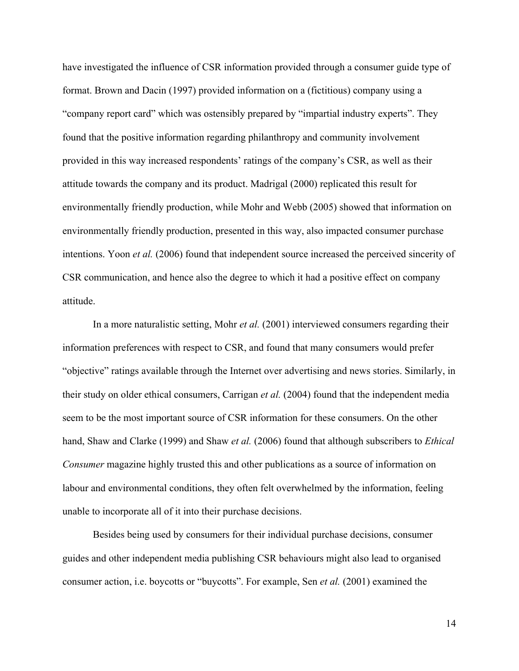have investigated the influence of CSR information provided through a consumer guide type of format. Brown and Dacin (1997) provided information on a (fictitious) company using a "company report card" which was ostensibly prepared by "impartial industry experts". They found that the positive information regarding philanthropy and community involvement provided in this way increased respondents' ratings of the company's CSR, as well as their attitude towards the company and its product. Madrigal (2000) replicated this result for environmentally friendly production, while Mohr and Webb (2005) showed that information on environmentally friendly production, presented in this way, also impacted consumer purchase intentions. Yoon *et al.* (2006) found that independent source increased the perceived sincerity of CSR communication, and hence also the degree to which it had a positive effect on company attitude.

In a more naturalistic setting, Mohr *et al.* (2001) interviewed consumers regarding their information preferences with respect to CSR, and found that many consumers would prefer "objective" ratings available through the Internet over advertising and news stories. Similarly, in their study on older ethical consumers, Carrigan *et al.* (2004) found that the independent media seem to be the most important source of CSR information for these consumers. On the other hand, Shaw and Clarke (1999) and Shaw *et al.* (2006) found that although subscribers to *Ethical Consumer* magazine highly trusted this and other publications as a source of information on labour and environmental conditions, they often felt overwhelmed by the information, feeling unable to incorporate all of it into their purchase decisions.

Besides being used by consumers for their individual purchase decisions, consumer guides and other independent media publishing CSR behaviours might also lead to organised consumer action, i.e. boycotts or "buycotts". For example, Sen *et al.* (2001) examined the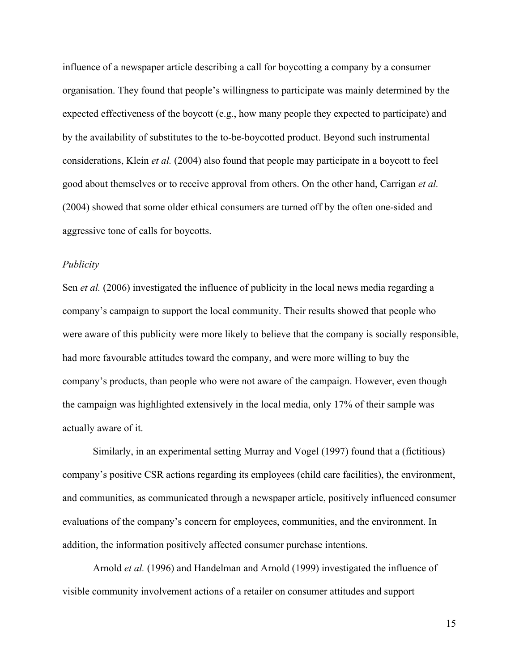influence of a newspaper article describing a call for boycotting a company by a consumer organisation. They found that people's willingness to participate was mainly determined by the expected effectiveness of the boycott (e.g., how many people they expected to participate) and by the availability of substitutes to the to-be-boycotted product. Beyond such instrumental considerations, Klein *et al.* (2004) also found that people may participate in a boycott to feel good about themselves or to receive approval from others. On the other hand, Carrigan *et al.* (2004) showed that some older ethical consumers are turned off by the often one-sided and aggressive tone of calls for boycotts.

#### *Publicity*

Sen *et al.* (2006) investigated the influence of publicity in the local news media regarding a company's campaign to support the local community. Their results showed that people who were aware of this publicity were more likely to believe that the company is socially responsible, had more favourable attitudes toward the company, and were more willing to buy the company's products, than people who were not aware of the campaign. However, even though the campaign was highlighted extensively in the local media, only 17% of their sample was actually aware of it.

Similarly, in an experimental setting Murray and Vogel (1997) found that a (fictitious) company's positive CSR actions regarding its employees (child care facilities), the environment, and communities, as communicated through a newspaper article, positively influenced consumer evaluations of the company's concern for employees, communities, and the environment. In addition, the information positively affected consumer purchase intentions.

Arnold *et al.* (1996) and Handelman and Arnold (1999) investigated the influence of visible community involvement actions of a retailer on consumer attitudes and support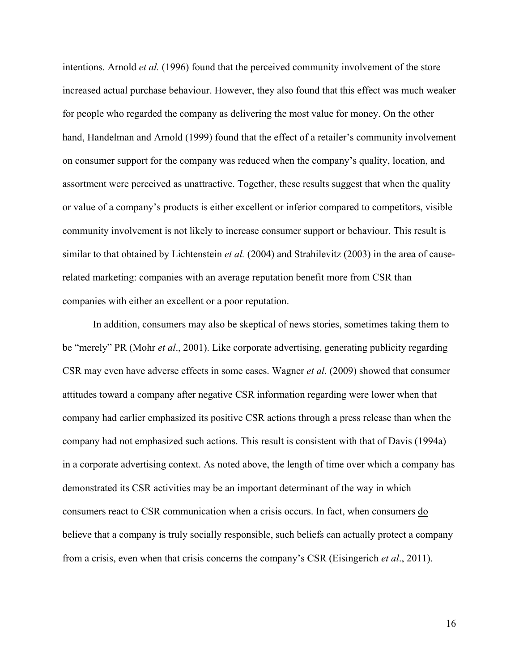intentions. Arnold *et al.* (1996) found that the perceived community involvement of the store increased actual purchase behaviour. However, they also found that this effect was much weaker for people who regarded the company as delivering the most value for money. On the other hand, Handelman and Arnold (1999) found that the effect of a retailer's community involvement on consumer support for the company was reduced when the company's quality, location, and assortment were perceived as unattractive. Together, these results suggest that when the quality or value of a company's products is either excellent or inferior compared to competitors, visible community involvement is not likely to increase consumer support or behaviour. This result is similar to that obtained by Lichtenstein *et al.* (2004) and Strahilevitz (2003) in the area of causerelated marketing: companies with an average reputation benefit more from CSR than companies with either an excellent or a poor reputation.

In addition, consumers may also be skeptical of news stories, sometimes taking them to be "merely" PR (Mohr *et al*., 2001). Like corporate advertising, generating publicity regarding CSR may even have adverse effects in some cases. Wagner *et al*. (2009) showed that consumer attitudes toward a company after negative CSR information regarding were lower when that company had earlier emphasized its positive CSR actions through a press release than when the company had not emphasized such actions. This result is consistent with that of Davis (1994a) in a corporate advertising context. As noted above, the length of time over which a company has demonstrated its CSR activities may be an important determinant of the way in which consumers react to CSR communication when a crisis occurs. In fact, when consumers do believe that a company is truly socially responsible, such beliefs can actually protect a company from a crisis, even when that crisis concerns the company's CSR (Eisingerich *et al*., 2011).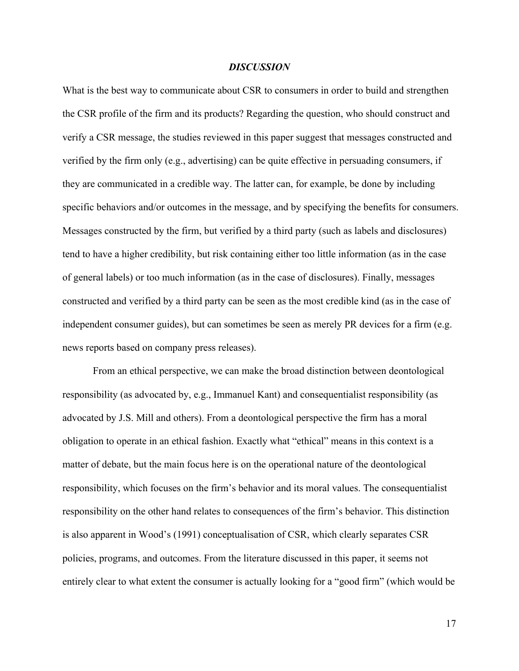## *DISCUSSION*

What is the best way to communicate about CSR to consumers in order to build and strengthen the CSR profile of the firm and its products? Regarding the question, who should construct and verify a CSR message, the studies reviewed in this paper suggest that messages constructed and verified by the firm only (e.g., advertising) can be quite effective in persuading consumers, if they are communicated in a credible way. The latter can, for example, be done by including specific behaviors and/or outcomes in the message, and by specifying the benefits for consumers. Messages constructed by the firm, but verified by a third party (such as labels and disclosures) tend to have a higher credibility, but risk containing either too little information (as in the case of general labels) or too much information (as in the case of disclosures). Finally, messages constructed and verified by a third party can be seen as the most credible kind (as in the case of independent consumer guides), but can sometimes be seen as merely PR devices for a firm (e.g. news reports based on company press releases).

From an ethical perspective, we can make the broad distinction between deontological responsibility (as advocated by, e.g., Immanuel Kant) and consequentialist responsibility (as advocated by J.S. Mill and others). From a deontological perspective the firm has a moral obligation to operate in an ethical fashion. Exactly what "ethical" means in this context is a matter of debate, but the main focus here is on the operational nature of the deontological responsibility, which focuses on the firm's behavior and its moral values. The consequentialist responsibility on the other hand relates to consequences of the firm's behavior. This distinction is also apparent in Wood's (1991) conceptualisation of CSR, which clearly separates CSR policies, programs, and outcomes. From the literature discussed in this paper, it seems not entirely clear to what extent the consumer is actually looking for a "good firm" (which would be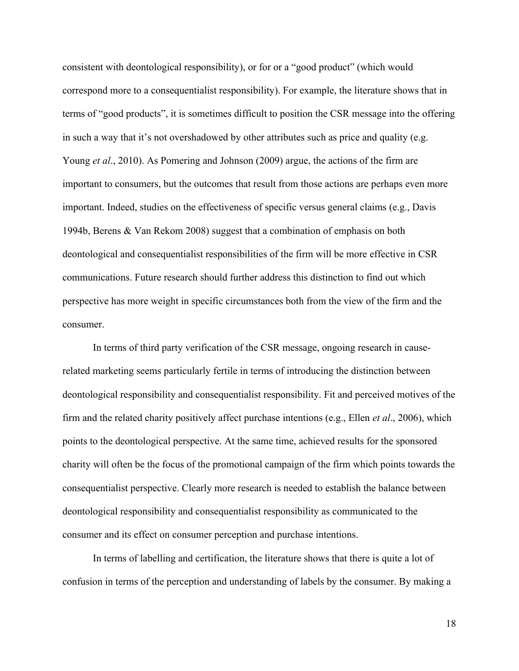consistent with deontological responsibility), or for or a "good product" (which would correspond more to a consequentialist responsibility). For example, the literature shows that in terms of "good products", it is sometimes difficult to position the CSR message into the offering in such a way that it's not overshadowed by other attributes such as price and quality (e.g. Young *et al*., 2010). As Pomering and Johnson (2009) argue, the actions of the firm are important to consumers, but the outcomes that result from those actions are perhaps even more important. Indeed, studies on the effectiveness of specific versus general claims (e.g., Davis 1994b, Berens & Van Rekom 2008) suggest that a combination of emphasis on both deontological and consequentialist responsibilities of the firm will be more effective in CSR communications. Future research should further address this distinction to find out which perspective has more weight in specific circumstances both from the view of the firm and the consumer.

In terms of third party verification of the CSR message, ongoing research in causerelated marketing seems particularly fertile in terms of introducing the distinction between deontological responsibility and consequentialist responsibility. Fit and perceived motives of the firm and the related charity positively affect purchase intentions (e.g., Ellen *et al*., 2006), which points to the deontological perspective. At the same time, achieved results for the sponsored charity will often be the focus of the promotional campaign of the firm which points towards the consequentialist perspective. Clearly more research is needed to establish the balance between deontological responsibility and consequentialist responsibility as communicated to the consumer and its effect on consumer perception and purchase intentions.

In terms of labelling and certification, the literature shows that there is quite a lot of confusion in terms of the perception and understanding of labels by the consumer. By making a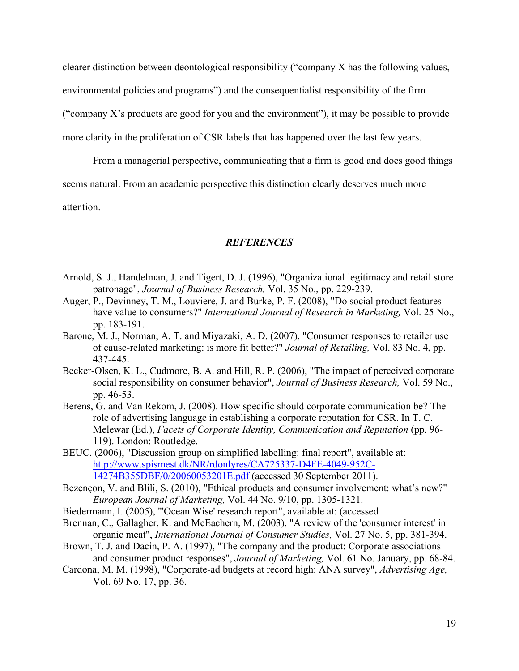clearer distinction between deontological responsibility ("company X has the following values, environmental policies and programs") and the consequentialist responsibility of the firm ("company X's products are good for you and the environment"), it may be possible to provide more clarity in the proliferation of CSR labels that has happened over the last few years.

From a managerial perspective, communicating that a firm is good and does good things seems natural. From an academic perspective this distinction clearly deserves much more attention.

## *REFERENCES*

- Arnold, S. J., Handelman, J. and Tigert, D. J. (1996), "Organizational legitimacy and retail store patronage", *Journal of Business Research,* Vol. 35 No., pp. 229-239.
- Auger, P., Devinney, T. M., Louviere, J. and Burke, P. F. (2008), "Do social product features have value to consumers?" *International Journal of Research in Marketing,* Vol. 25 No., pp. 183-191.
- Barone, M. J., Norman, A. T. and Miyazaki, A. D. (2007), "Consumer responses to retailer use of cause-related marketing: is more fit better?" *Journal of Retailing,* Vol. 83 No. 4, pp. 437-445.
- Becker-Olsen, K. L., Cudmore, B. A. and Hill, R. P. (2006), "The impact of perceived corporate social responsibility on consumer behavior", *Journal of Business Research,* Vol. 59 No., pp. 46-53.
- Berens, G. and Van Rekom, J. (2008). How specific should corporate communication be? The role of advertising language in establishing a corporate reputation for CSR. In T. C. Melewar (Ed.), *Facets of Corporate Identity, Communication and Reputation* (pp. 96- 119). London: Routledge.
- BEUC. (2006), "Discussion group on simplified labelling: final report", available at: http://www.spismest.dk/NR/rdonlyres/CA725337-D4FE-4049-952C-14274B355DBF/0/20060053201E.pdf (accessed 30 September 2011).
- Bezençon, V. and Blili, S. (2010), "Ethical products and consumer involvement: what's new?" *European Journal of Marketing,* Vol. 44 No. 9/10, pp. 1305-1321.
- Biedermann, I. (2005), "'Ocean Wise' research report", available at: (accessed
- Brennan, C., Gallagher, K. and McEachern, M. (2003), "A review of the 'consumer interest' in organic meat", *International Journal of Consumer Studies,* Vol. 27 No. 5, pp. 381-394.
- Brown, T. J. and Dacin, P. A. (1997), "The company and the product: Corporate associations and consumer product responses", *Journal of Marketing,* Vol. 61 No. January, pp. 68-84.
- Cardona, M. M. (1998), "Corporate-ad budgets at record high: ANA survey", *Advertising Age,*  Vol. 69 No. 17, pp. 36.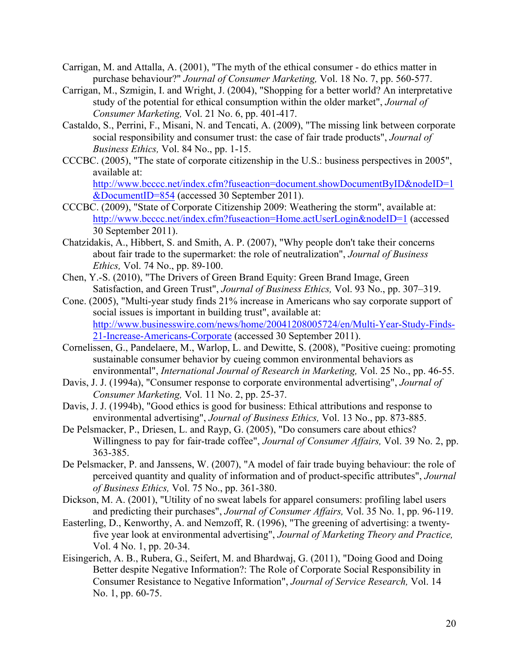- Carrigan, M. and Attalla, A. (2001), "The myth of the ethical consumer do ethics matter in purchase behaviour?" *Journal of Consumer Marketing,* Vol. 18 No. 7, pp. 560-577.
- Carrigan, M., Szmigin, I. and Wright, J. (2004), "Shopping for a better world? An interpretative study of the potential for ethical consumption within the older market", *Journal of Consumer Marketing,* Vol. 21 No. 6, pp. 401-417.
- Castaldo, S., Perrini, F., Misani, N. and Tencati, A. (2009), "The missing link between corporate social responsibility and consumer trust: the case of fair trade products", *Journal of Business Ethics,* Vol. 84 No., pp. 1-15.
- CCCBC. (2005), "The state of corporate citizenship in the U.S.: business perspectives in 2005", available at:

http://www.bcccc.net/index.cfm?fuseaction=document.showDocumentByID&nodeID=1 &DocumentID=854 (accessed 30 September 2011).

- CCCBC. (2009), "State of Corporate Citizenship 2009: Weathering the storm", available at: http://www.bcccc.net/index.cfm?fuseaction=Home.actUserLogin&nodeID=1 (accessed 30 September 2011).
- Chatzidakis, A., Hibbert, S. and Smith, A. P. (2007), "Why people don't take their concerns about fair trade to the supermarket: the role of neutralization", *Journal of Business Ethics,* Vol. 74 No., pp. 89-100.
- Chen, Y.-S. (2010), "The Drivers of Green Brand Equity: Green Brand Image, Green Satisfaction, and Green Trust", *Journal of Business Ethics,* Vol. 93 No., pp. 307–319.
- Cone. (2005), "Multi-year study finds 21% increase in Americans who say corporate support of social issues is important in building trust", available at: http://www.businesswire.com/news/home/20041208005724/en/Multi-Year-Study-Finds-21-Increase-Americans-Corporate (accessed 30 September 2011).
- Cornelissen, G., Pandelaere, M., Warlop, L. and Dewitte, S. (2008), "Positive cueing: promoting sustainable consumer behavior by cueing common environmental behaviors as environmental", *International Journal of Research in Marketing,* Vol. 25 No., pp. 46-55.
- Davis, J. J. (1994a), "Consumer response to corporate environmental advertising", *Journal of Consumer Marketing,* Vol. 11 No. 2, pp. 25-37.

Davis, J. J. (1994b), "Good ethics is good for business: Ethical attributions and response to environmental advertising", *Journal of Business Ethics,* Vol. 13 No., pp. 873-885.

- De Pelsmacker, P., Driesen, L. and Rayp, G. (2005), "Do consumers care about ethics? Willingness to pay for fair-trade coffee", *Journal of Consumer Affairs,* Vol. 39 No. 2, pp. 363-385.
- De Pelsmacker, P. and Janssens, W. (2007), "A model of fair trade buying behaviour: the role of perceived quantity and quality of information and of product-specific attributes", *Journal of Business Ethics,* Vol. 75 No., pp. 361-380.
- Dickson, M. A. (2001), "Utility of no sweat labels for apparel consumers: profiling label users and predicting their purchases", *Journal of Consumer Affairs,* Vol. 35 No. 1, pp. 96-119.
- Easterling, D., Kenworthy, A. and Nemzoff, R. (1996), "The greening of advertising: a twentyfive year look at environmental advertising", *Journal of Marketing Theory and Practice,*  Vol. 4 No. 1, pp. 20-34.
- Eisingerich, A. B., Rubera, G., Seifert, M. and Bhardwaj, G. (2011), "Doing Good and Doing Better despite Negative Information?: The Role of Corporate Social Responsibility in Consumer Resistance to Negative Information", *Journal of Service Research,* Vol. 14 No. 1, pp. 60-75.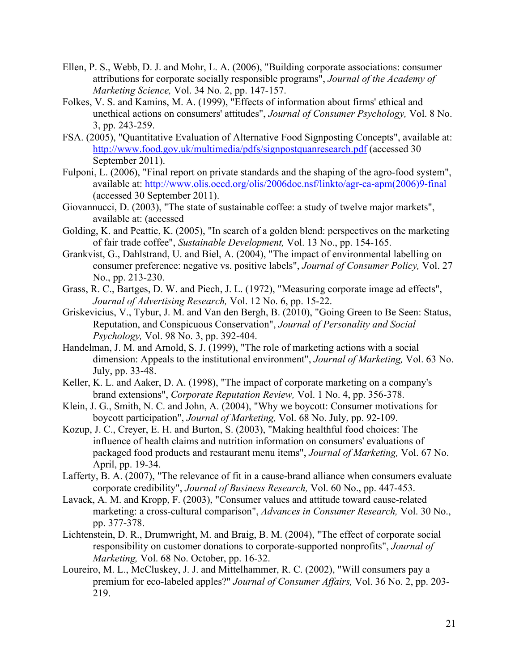- Ellen, P. S., Webb, D. J. and Mohr, L. A. (2006), "Building corporate associations: consumer attributions for corporate socially responsible programs", *Journal of the Academy of Marketing Science,* Vol. 34 No. 2, pp. 147-157.
- Folkes, V. S. and Kamins, M. A. (1999), "Effects of information about firms' ethical and unethical actions on consumers' attitudes", *Journal of Consumer Psychology,* Vol. 8 No. 3, pp. 243-259.
- FSA. (2005), "Quantitative Evaluation of Alternative Food Signposting Concepts", available at: http://www.food.gov.uk/multimedia/pdfs/signpostquanresearch.pdf (accessed 30 September 2011).
- Fulponi, L. (2006), "Final report on private standards and the shaping of the agro-food system", available at: http://www.olis.oecd.org/olis/2006doc.nsf/linkto/agr-ca-apm(2006)9-final (accessed 30 September 2011).
- Giovannucci, D. (2003), "The state of sustainable coffee: a study of twelve major markets", available at: (accessed
- Golding, K. and Peattie, K. (2005), "In search of a golden blend: perspectives on the marketing of fair trade coffee", *Sustainable Development,* Vol. 13 No., pp. 154-165.
- Grankvist, G., Dahlstrand, U. and Biel, A. (2004), "The impact of environmental labelling on consumer preference: negative vs. positive labels", *Journal of Consumer Policy,* Vol. 27 No., pp. 213-230.
- Grass, R. C., Bartges, D. W. and Piech, J. L. (1972), "Measuring corporate image ad effects", *Journal of Advertising Research,* Vol. 12 No. 6, pp. 15-22.
- Griskevicius, V., Tybur, J. M. and Van den Bergh, B. (2010), "Going Green to Be Seen: Status, Reputation, and Conspicuous Conservation", *Journal of Personality and Social Psychology,* Vol. 98 No. 3, pp. 392-404.
- Handelman, J. M. and Arnold, S. J. (1999), "The role of marketing actions with a social dimension: Appeals to the institutional environment", *Journal of Marketing,* Vol. 63 No. July, pp. 33-48.
- Keller, K. L. and Aaker, D. A. (1998), "The impact of corporate marketing on a company's brand extensions", *Corporate Reputation Review,* Vol. 1 No. 4, pp. 356-378.
- Klein, J. G., Smith, N. C. and John, A. (2004), "Why we boycott: Consumer motivations for boycott participation", *Journal of Marketing,* Vol. 68 No. July, pp. 92-109.
- Kozup, J. C., Creyer, E. H. and Burton, S. (2003), "Making healthful food choices: The influence of health claims and nutrition information on consumers' evaluations of packaged food products and restaurant menu items", *Journal of Marketing,* Vol. 67 No. April, pp. 19-34.
- Lafferty, B. A. (2007), "The relevance of fit in a cause-brand alliance when consumers evaluate corporate credibility", *Journal of Business Research,* Vol. 60 No., pp. 447-453.
- Lavack, A. M. and Kropp, F. (2003), "Consumer values and attitude toward cause-related marketing: a cross-cultural comparison", *Advances in Consumer Research,* Vol. 30 No., pp. 377-378.
- Lichtenstein, D. R., Drumwright, M. and Braig, B. M. (2004), "The effect of corporate social responsibility on customer donations to corporate-supported nonprofits", *Journal of Marketing,* Vol. 68 No. October, pp. 16-32.
- Loureiro, M. L., McCluskey, J. J. and Mittelhammer, R. C. (2002), "Will consumers pay a premium for eco-labeled apples?" *Journal of Consumer Affairs,* Vol. 36 No. 2, pp. 203- 219.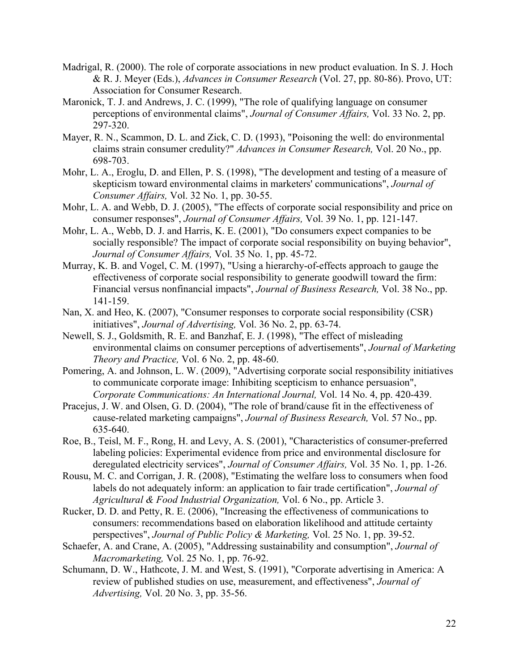- Madrigal, R. (2000). The role of corporate associations in new product evaluation. In S. J. Hoch & R. J. Meyer (Eds.), *Advances in Consumer Research* (Vol. 27, pp. 80-86). Provo, UT: Association for Consumer Research.
- Maronick, T. J. and Andrews, J. C. (1999), "The role of qualifying language on consumer perceptions of environmental claims", *Journal of Consumer Affairs,* Vol. 33 No. 2, pp. 297-320.
- Mayer, R. N., Scammon, D. L. and Zick, C. D. (1993), "Poisoning the well: do environmental claims strain consumer credulity?" *Advances in Consumer Research,* Vol. 20 No., pp. 698-703.
- Mohr, L. A., Eroglu, D. and Ellen, P. S. (1998), "The development and testing of a measure of skepticism toward environmental claims in marketers' communications", *Journal of Consumer Affairs,* Vol. 32 No. 1, pp. 30-55.
- Mohr, L. A. and Webb, D. J. (2005), "The effects of corporate social responsibility and price on consumer responses", *Journal of Consumer Affairs,* Vol. 39 No. 1, pp. 121-147.
- Mohr, L. A., Webb, D. J. and Harris, K. E. (2001), "Do consumers expect companies to be socially responsible? The impact of corporate social responsibility on buying behavior", *Journal of Consumer Affairs,* Vol. 35 No. 1, pp. 45-72.
- Murray, K. B. and Vogel, C. M. (1997), "Using a hierarchy-of-effects approach to gauge the effectiveness of corporate social responsibility to generate goodwill toward the firm: Financial versus nonfinancial impacts", *Journal of Business Research,* Vol. 38 No., pp. 141-159.
- Nan, X. and Heo, K. (2007), "Consumer responses to corporate social responsibility (CSR) initiatives", *Journal of Advertising,* Vol. 36 No. 2, pp. 63-74.
- Newell, S. J., Goldsmith, R. E. and Banzhaf, E. J. (1998), "The effect of misleading environmental claims on consumer perceptions of advertisements", *Journal of Marketing Theory and Practice,* Vol. 6 No. 2, pp. 48-60.
- Pomering, A. and Johnson, L. W. (2009), "Advertising corporate social responsibility initiatives to communicate corporate image: Inhibiting scepticism to enhance persuasion", *Corporate Communications: An International Journal,* Vol. 14 No. 4, pp. 420-439.
- Pracejus, J. W. and Olsen, G. D. (2004), "The role of brand/cause fit in the effectiveness of cause-related marketing campaigns", *Journal of Business Research,* Vol. 57 No., pp. 635-640.
- Roe, B., Teisl, M. F., Rong, H. and Levy, A. S. (2001), "Characteristics of consumer-preferred labeling policies: Experimental evidence from price and environmental disclosure for deregulated electricity services", *Journal of Consumer Affairs,* Vol. 35 No. 1, pp. 1-26.
- Rousu, M. C. and Corrigan, J. R. (2008), "Estimating the welfare loss to consumers when food labels do not adequately inform: an application to fair trade certification", *Journal of Agricultural & Food Industrial Organization,* Vol. 6 No., pp. Article 3.
- Rucker, D. D. and Petty, R. E. (2006), "Increasing the effectiveness of communications to consumers: recommendations based on elaboration likelihood and attitude certainty perspectives", *Journal of Public Policy & Marketing,* Vol. 25 No. 1, pp. 39-52.
- Schaefer, A. and Crane, A. (2005), "Addressing sustainability and consumption", *Journal of Macromarketing,* Vol. 25 No. 1, pp. 76-92.
- Schumann, D. W., Hathcote, J. M. and West, S. (1991), "Corporate advertising in America: A review of published studies on use, measurement, and effectiveness", *Journal of Advertising,* Vol. 20 No. 3, pp. 35-56.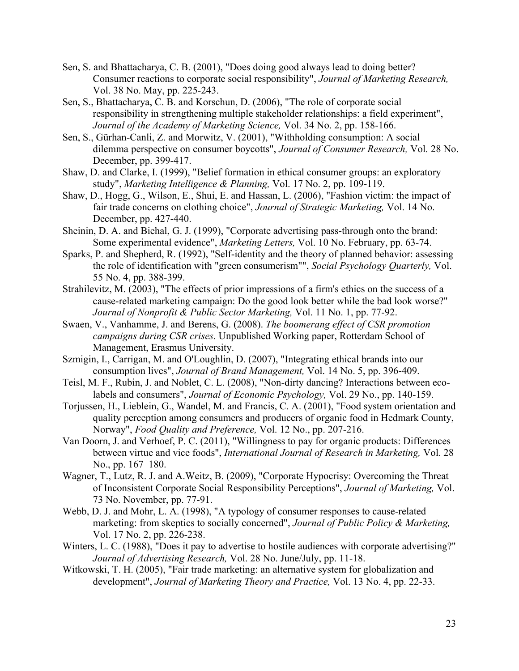- Sen, S. and Bhattacharya, C. B. (2001), "Does doing good always lead to doing better? Consumer reactions to corporate social responsibility", *Journal of Marketing Research,*  Vol. 38 No. May, pp. 225-243.
- Sen, S., Bhattacharya, C. B. and Korschun, D. (2006), "The role of corporate social responsibility in strengthening multiple stakeholder relationships: a field experiment", *Journal of the Academy of Marketing Science,* Vol. 34 No. 2, pp. 158-166.
- Sen, S., Gürhan-Canli, Z. and Morwitz, V. (2001), "Withholding consumption: A social dilemma perspective on consumer boycotts", *Journal of Consumer Research,* Vol. 28 No. December, pp. 399-417.
- Shaw, D. and Clarke, I. (1999), "Belief formation in ethical consumer groups: an exploratory study", *Marketing Intelligence & Planning,* Vol. 17 No. 2, pp. 109-119.
- Shaw, D., Hogg, G., Wilson, E., Shui, E. and Hassan, L. (2006), "Fashion victim: the impact of fair trade concerns on clothing choice", *Journal of Strategic Marketing,* Vol. 14 No. December, pp. 427-440.
- Sheinin, D. A. and Biehal, G. J. (1999), "Corporate advertising pass-through onto the brand: Some experimental evidence", *Marketing Letters,* Vol. 10 No. February, pp. 63-74.
- Sparks, P. and Shepherd, R. (1992), "Self-identity and the theory of planned behavior: assessing the role of identification with "green consumerism"", *Social Psychology Quarterly,* Vol. 55 No. 4, pp. 388-399.
- Strahilevitz, M. (2003), "The effects of prior impressions of a firm's ethics on the success of a cause-related marketing campaign: Do the good look better while the bad look worse?" *Journal of Nonprofit & Public Sector Marketing,* Vol. 11 No. 1, pp. 77-92.
- Swaen, V., Vanhamme, J. and Berens, G. (2008). *The boomerang effect of CSR promotion campaigns during CSR crises.* Unpublished Working paper, Rotterdam School of Management, Erasmus University.
- Szmigin, I., Carrigan, M. and O'Loughlin, D. (2007), "Integrating ethical brands into our consumption lives", *Journal of Brand Management,* Vol. 14 No. 5, pp. 396-409.
- Teisl, M. F., Rubin, J. and Noblet, C. L. (2008), "Non-dirty dancing? Interactions between ecolabels and consumers", *Journal of Economic Psychology,* Vol. 29 No., pp. 140-159.
- Torjussen, H., Lieblein, G., Wandel, M. and Francis, C. A. (2001), "Food system orientation and quality perception among consumers and producers of organic food in Hedmark County, Norway", *Food Quality and Preference,* Vol. 12 No., pp. 207-216.
- Van Doorn, J. and Verhoef, P. C. (2011), "Willingness to pay for organic products: Differences between virtue and vice foods", *International Journal of Research in Marketing,* Vol. 28 No., pp. 167–180.
- Wagner, T., Lutz, R. J. and A.Weitz, B. (2009), "Corporate Hypocrisy: Overcoming the Threat of Inconsistent Corporate Social Responsibility Perceptions", *Journal of Marketing,* Vol. 73 No. November, pp. 77-91.
- Webb, D. J. and Mohr, L. A. (1998), "A typology of consumer responses to cause-related marketing: from skeptics to socially concerned", *Journal of Public Policy & Marketing,*  Vol. 17 No. 2, pp. 226-238.
- Winters, L. C. (1988), "Does it pay to advertise to hostile audiences with corporate advertising?" *Journal of Advertising Research,* Vol. 28 No. June/July, pp. 11-18.
- Witkowski, T. H. (2005), "Fair trade marketing: an alternative system for globalization and development", *Journal of Marketing Theory and Practice,* Vol. 13 No. 4, pp. 22-33.